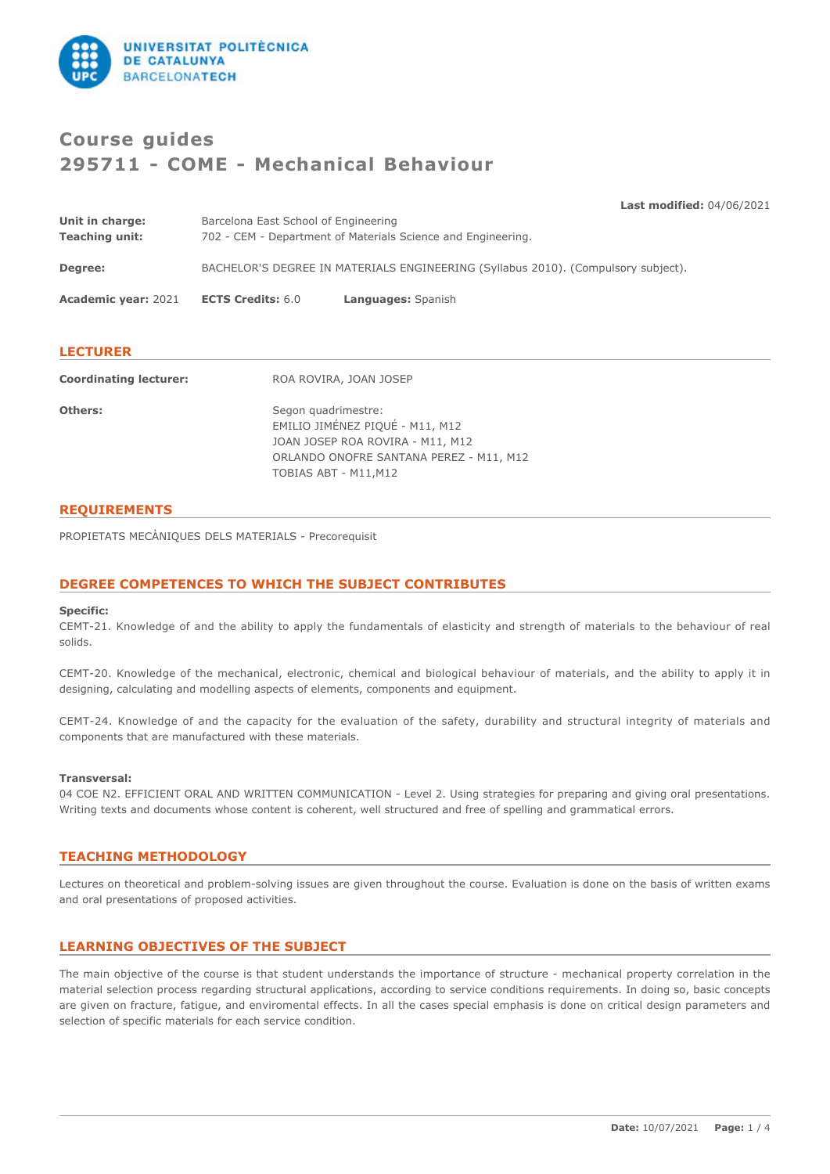

# **Course guides 295711 - COME - Mechanical Behaviour**

**Last modified:** 04/06/2021

| Coordinating lecturer:                   |                                                                                                      | ROA ROVIRA JOAN JOSED |
|------------------------------------------|------------------------------------------------------------------------------------------------------|-----------------------|
| <b>LECTURER</b>                          |                                                                                                      |                       |
| <b>Academic year: 2021</b>               | <b>ECTS Credits: 6.0</b>                                                                             | Languages: Spanish    |
| Degree:                                  | BACHELOR'S DEGREE IN MATERIALS ENGINEERING (Syllabus 2010). (Compulsory subject).                    |                       |
| Unit in charge:<br><b>Teaching unit:</b> | Barcelona East School of Engineering<br>702 - CEM - Department of Materials Science and Engineering. |                       |

| COOLUMATING ICCLUICI. | NUA NUVINA, JUAN JUJLE                                                                                                                                         |
|-----------------------|----------------------------------------------------------------------------------------------------------------------------------------------------------------|
| <b>Others:</b>        | Segon quadrimestre:<br>EMILIO JIMÉNEZ PIQUÉ - M11, M12<br>JOAN JOSEP ROA ROVIRA - M11, M12<br>ORLANDO ONOFRE SANTANA PEREZ - M11, M12<br>TOBIAS ABT - M11, M12 |

# **REQUIREMENTS**

PROPIETATS MECÀNIQUES DELS MATERIALS - Precorequisit

# **DEGREE COMPETENCES TO WHICH THE SUBJECT CONTRIBUTES**

#### **Specific:**

CEMT-21. Knowledge of and the ability to apply the fundamentals of elasticity and strength of materials to the behaviour of real solids.

CEMT-20. Knowledge of the mechanical, electronic, chemical and biological behaviour of materials, and the ability to apply it in designing, calculating and modelling aspects of elements, components and equipment.

CEMT-24. Knowledge of and the capacity for the evaluation of the safety, durability and structural integrity of materials and components that are manufactured with these materials.

#### **Transversal:**

04 COE N2. EFFICIENT ORAL AND WRITTEN COMMUNICATION - Level 2. Using strategies for preparing and giving oral presentations. Writing texts and documents whose content is coherent, well structured and free of spelling and grammatical errors.

# **TEACHING METHODOLOGY**

Lectures on theoretical and problem-solving issues are given throughout the course. Evaluation is done on the basis of written exams and oral presentations of proposed activities.

## **LEARNING OBJECTIVES OF THE SUBJECT**

The main objective of the course is that student understands the importance of structure - mechanical property correlation in the material selection process regarding structural applications, according to service conditions requirements. In doing so, basic concepts are given on fracture, fatigue, and enviromental effects. In all the cases special emphasis is done on critical design parameters and selection of specific materials for each service condition.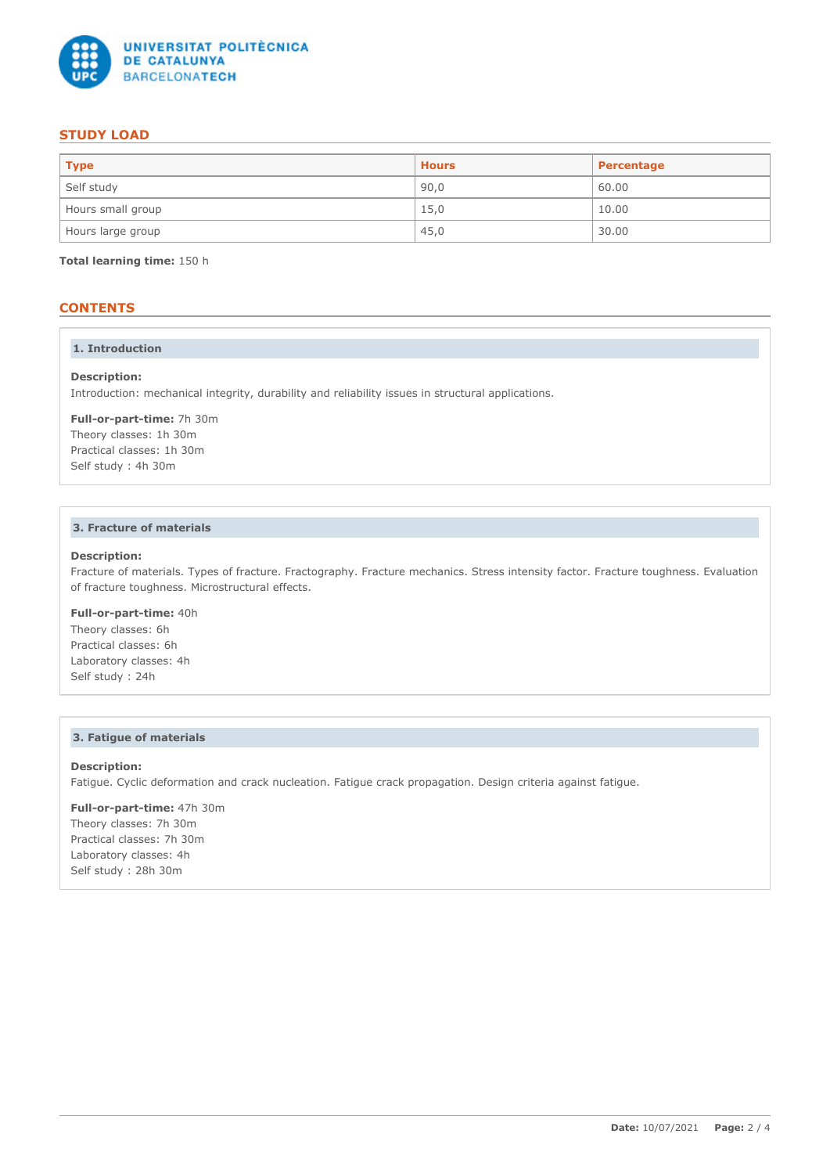

# **STUDY LOAD**

| <b>Type</b>       | <b>Hours</b> | Percentage |
|-------------------|--------------|------------|
| Self study        | 90,0         | 60.00      |
| Hours small group | 15,0         | 10.00      |
| Hours large group | 45,0         | 30.00      |

**Total learning time:** 150 h

# **CONTENTS**

### **1. Introduction**

#### **Description:**

Introduction: mechanical integrity, durability and reliability issues in structural applications.

**Full-or-part-time:** 7h 30m Theory classes: 1h 30m Practical classes: 1h 30m Self study : 4h 30m

## **3. Fracture of materials**

## **Description:**

Fracture of materials. Types of fracture. Fractography. Fracture mechanics. Stress intensity factor. Fracture toughness. Evaluation of fracture toughness. Microstructural effects.

# **Full-or-part-time:** 40h

Theory classes: 6h Practical classes: 6h Laboratory classes: 4h Self study : 24h

#### **3. Fatigue of materials**

#### **Description:**

Fatigue. Cyclic deformation and crack nucleation. Fatigue crack propagation. Design criteria against fatigue.

**Full-or-part-time:** 47h 30m Theory classes: 7h 30m Practical classes: 7h 30m Laboratory classes: 4h Self study : 28h 30m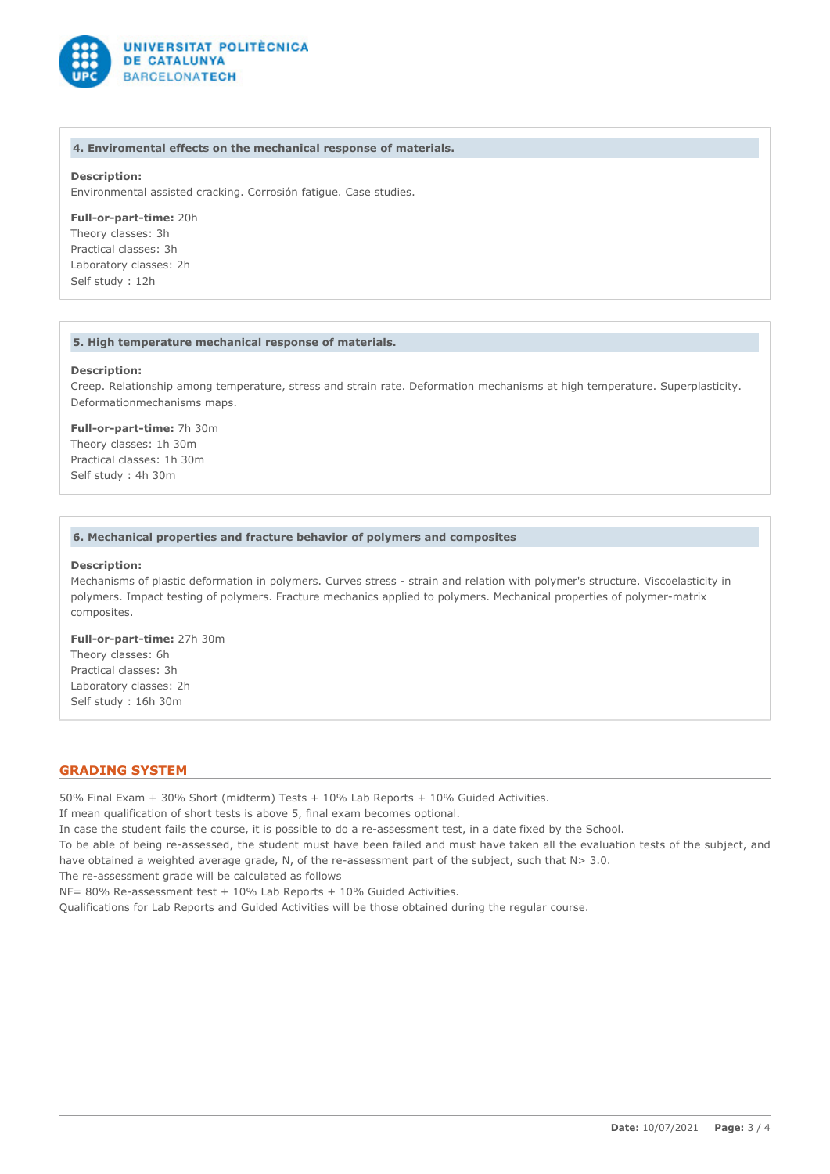

#### **4. Enviromental effects on the mechanical response of materials.**

## **Description:**

Environmental assisted cracking. Corrosión fatigue. Case studies.

#### **Full-or-part-time:** 20h

Theory classes: 3h Practical classes: 3h Laboratory classes: 2h Self study : 12h

#### **5. High temperature mechanical response of materials.**

#### **Description:**

Creep. Relationship among temperature, stress and strain rate. Deformation mechanisms at high temperature. Superplasticity. Deformationmechanisms maps.

#### **Full-or-part-time:** 7h 30m Theory classes: 1h 30m

Practical classes: 1h 30m Self study : 4h 30m

#### **6. Mechanical properties and fracture behavior of polymers and composites**

#### **Description:**

Mechanisms of plastic deformation in polymers. Curves stress - strain and relation with polymer's structure. Viscoelasticity in polymers. Impact testing of polymers. Fracture mechanics applied to polymers. Mechanical properties of polymer-matrix composites.

**Full-or-part-time:** 27h 30m Theory classes: 6h Practical classes: 3h Laboratory classes: 2h Self study : 16h 30m

### **GRADING SYSTEM**

50% Final Exam + 30% Short (midterm) Tests + 10% Lab Reports + 10% Guided Activities.

If mean qualification of short tests is above 5, final exam becomes optional.

In case the student fails the course, it is possible to do a re-assessment test, in a date fixed by the School.

To be able of being re-assessed, the student must have been failed and must have taken all the evaluation tests of the subject, and have obtained a weighted average grade, N, of the re-assessment part of the subject, such that N> 3.0.

The re-assessment grade will be calculated as follows

NF= 80% Re-assessment test + 10% Lab Reports + 10% Guided Activities.

Qualifications for Lab Reports and Guided Activities will be those obtained during the regular course.